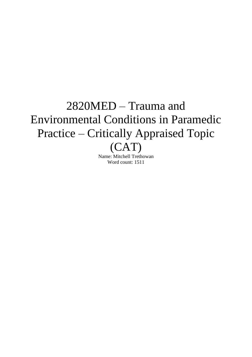# 2820MED – Trauma and Environmental Conditions in Paramedic Practice – Critically Appraised Topic (CAT)

Name: Mitchell Trethowan Word count: 1511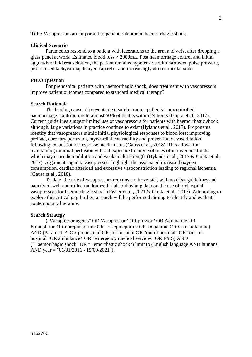**Title:** Vasopressors are important to patient outcome in haemorrhagic shock.

# **Clinical Scenario**

Paramedics respond to a patient with lacerations to the arm and wrist after dropping a glass panel at work. Estimated blood loss > 2000mL. Post haemorrhage control and initial aggressive fluid resuscitation, the patient remains hypotensive with narrowed pulse pressure, pronounced tachycardia, delayed cap refill and increasingly altered mental state.

## **PICO Question**

For prehospital patients with haemorrhagic shock, does treatment with vasopressors improve patient outcomes compared to standard medical therapy?

#### **Search Rationale**

The leading cause of preventable death in trauma patients is uncontrolled haemorrhage, contributing to almost 50% of deaths within 24 hours (Gupta et al., 2017). Current guidelines suggest limited use of vasopressors for patients with haemorrhagic shock although, large variations in practice continue to exist (Hylands et al., 2017). Proponents identify that vasopressors mimic initial physiological responses to blood loss; improving preload, coronary perfusion, myocardial contractility and prevention of vasodilation following exhaustion of response mechanisms (Gauss et al., 2018). This allows for maintaining minimal perfusion without exposure to large volumes of intravenous fluids which may cause hemodilution and weaken clot strength (Hylands et al., 2017 & Gupta et al., 2017). Arguments against vasopressors highlight the associated increased oxygen consumption, cardiac afterload and excessive vasoconstriction leading to regional ischemia (Gauss et al., 2018).

To date, the role of vasopressors remains controversial, with no clear guidelines and paucity of well controlled randomized trials publishing data on the use of prehospital vasopressors for haemorrhagic shock (Fisher et al., 2021 & Gupta et al., 2017). Attempting to explore this critical gap further, a search will be performed aiming to identify and evaluate contemporary literature.

#### **Search Strategy**

("Vasopressor agents" OR Vasopressor\* OR pressor\* OR Adrenaline OR Epinephrine OR norepinephrine OR nor-epinephrine OR Dopamine OR Catecholamine) AND (Paramedic\* OR prehospital OR pre-hospital OR "out of hospital" OR "out-ofhospital" OR ambulance\* OR "emergency medical services" OR EMS) AND ("Haemorrhagic shock" OR "Hemorrhagic shock") limit to (English language AND humans AND year = "01/01/2016 - 15/09/2021").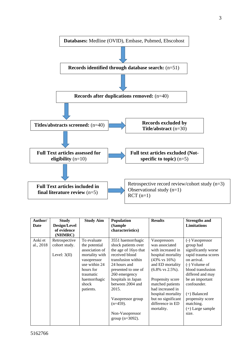

| Author/<br>Date | <b>Study</b><br>Design/Level<br>of evidence<br>(NHMRC) | <b>Study Aim</b>                                                                                            | Population<br>(Sample)<br>characteristics)                                                                                                  | <b>Results</b>                                                                                                                             | <b>Strengths and</b><br><b>Limitations</b>                                                                                       |
|-----------------|--------------------------------------------------------|-------------------------------------------------------------------------------------------------------------|---------------------------------------------------------------------------------------------------------------------------------------------|--------------------------------------------------------------------------------------------------------------------------------------------|----------------------------------------------------------------------------------------------------------------------------------|
| Aoki et         | Retrospective                                          | To evaluate                                                                                                 | 3551 haemorrhagic                                                                                                                           | Vasopressors                                                                                                                               | (-) Vasopressor                                                                                                                  |
| al., 2018       | cohort study.<br>Level: $3(II)$                        | the potential<br>association of<br>mortality with<br>vasopressor<br>use within 24<br>hours for<br>traumatic | shock patients over<br>the age of 16yo that<br>received blood<br>transfusion within<br>24 hours and<br>presented to one of<br>260 emergency | was associated<br>with increased in<br>hospital mortality<br>$(43\% \text{ vs } 16\%)$<br>and ED mortality<br>$(6.8\% \text{ vs } 2.5\%).$ | group had<br>significantly worse<br>rapid trauma scores<br>on arrival.<br>(-) Volume of<br>blood transfusion<br>differed and may |
|                 |                                                        | haemorrhagic<br>shock<br>patients.                                                                          | hospitals in Japan<br>between 2004 and<br>2015.                                                                                             | Propensity score<br>matched patients<br>had increased in<br>hospital mortality                                                             | be an important<br>confounder.<br>(+) Balanced                                                                                   |
|                 |                                                        |                                                                                                             | Vasopressor group<br>$(n=459)$ .                                                                                                            | but no significant<br>difference in ED<br>mortality.                                                                                       | propensity score<br>matching.<br>$(+)$ Large sample                                                                              |
|                 |                                                        |                                                                                                             | Non-Vasopressor<br>group $(n=3092)$ .                                                                                                       |                                                                                                                                            | size.                                                                                                                            |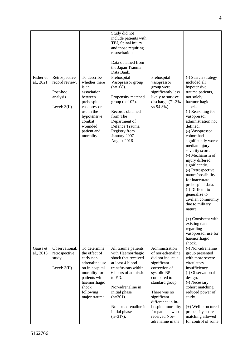|                        |                                                                           |                                                                                                                                                                              | Study did not<br>include patients with<br>TBI, Spinal injury<br>and those requiring<br>resuscitation.<br>Data obtained from<br>the Japan Trauma<br>Data Bank.                                                                                             |                                                                                                                                                                                                                                                                              |                                                                                                                                                                                                                                                                                                                                                                                                                                                                                                                                                                                                                              |
|------------------------|---------------------------------------------------------------------------|------------------------------------------------------------------------------------------------------------------------------------------------------------------------------|-----------------------------------------------------------------------------------------------------------------------------------------------------------------------------------------------------------------------------------------------------------|------------------------------------------------------------------------------------------------------------------------------------------------------------------------------------------------------------------------------------------------------------------------------|------------------------------------------------------------------------------------------------------------------------------------------------------------------------------------------------------------------------------------------------------------------------------------------------------------------------------------------------------------------------------------------------------------------------------------------------------------------------------------------------------------------------------------------------------------------------------------------------------------------------------|
| Fisher et<br>al., 2021 | Retrospective<br>record review.<br>Post-hoc<br>analysis<br>Level: $3(II)$ | To describe<br>whether there<br>is an<br>association<br>between<br>prehospital<br>vasopressor<br>use in the<br>hypotensive<br>combat<br>wounded<br>patient and<br>mortality. | Prehospital<br>Vasopressor group<br>$(n=108)$ .<br>Propensity matched<br>group $(n=107)$ .<br>Records obtained<br>from The<br>Department of<br>Defence Trauma<br>Registry from<br>January 2007-<br>August 2016.                                           | Prehospital<br>vasopressor<br>group were<br>significantly less<br>likely to survive<br>discharge (71.3%)<br>vs 94.3%).                                                                                                                                                       | (-) Search strategy<br>included all<br>hypotensive<br>trauma patients,<br>not solely<br>haemorrhagic<br>shock.<br>(-) Reasoning for<br>vasopressor<br>administration not<br>defined.<br>(-) Vasopressor<br>cohort had<br>significantly worse<br>median injury<br>severity score.<br>(-) Mechanism of<br>injury differed<br>significantly.<br>(-) Retrospective<br>nature/possibility<br>for inaccurate<br>prehospital data.<br>(-) Difficult to<br>generalize to<br>civilian community<br>due to military<br>nature.<br>$(+)$ Consistent with<br>existing data<br>regarding<br>vasopressor use for<br>haemorrhagic<br>shock. |
| Gauss et<br>al., 2018  | Observational,<br>retrospective<br>study.<br>Level: $3(II)$               | To determine<br>the effect of<br>early nor-<br>adrenaline use<br>on in hospital<br>mortality for<br>patients with<br>haemorrhagic<br>shock<br>following<br>major trauma.     | All trauma patients<br>with Haemorrhagic<br>shock that received<br>at least 4 blood<br>transfusions within<br>6 hours of admission<br>to ED.<br>Nor-adrenaline in<br>initial phase<br>$(n=201)$ .<br>No nor-adrenaline in<br>initial phase<br>$(n=317)$ . | Administration<br>of nor-adrenaline<br>did not induce a<br>significant<br>correction of<br>systolic BP<br>compared to<br>standard group.<br>There was no<br>significant<br>difference in in-<br>hospital mortality<br>for patients who<br>received Nor-<br>adrenaline in the | (-) Nor-adrenaline<br>group presented<br>with more severe<br>circulatory<br>insufficiency.<br>(-) Observational<br>design.<br>(-) Necessary<br>cohort matching<br>reduced power of<br>study.<br>$(+)$ Well-structured<br>propensity score<br>matching allowed<br>for control of some                                                                                                                                                                                                                                                                                                                                         |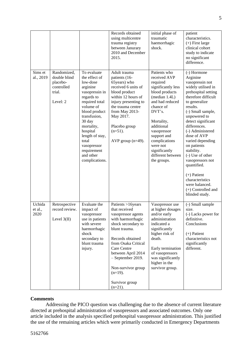|                           |                                                                             |                                                                                                                                                                                                                                                                                   | Records obtained<br>using multicentre<br>trauma registry<br>between Janurary<br>2010 and December<br>2015.                                                                                                                                                                                    | initial phase of<br>traumatic<br>haemorrhagic<br>shock.                                                                                                                                                                                                                                 | patient<br>characteristics.<br>$(+)$ First large<br>clinical cohort<br>study to indicate<br>no significant<br>difference.                                                                                                                                                                                                                                                                                                                                       |
|---------------------------|-----------------------------------------------------------------------------|-----------------------------------------------------------------------------------------------------------------------------------------------------------------------------------------------------------------------------------------------------------------------------------|-----------------------------------------------------------------------------------------------------------------------------------------------------------------------------------------------------------------------------------------------------------------------------------------------|-----------------------------------------------------------------------------------------------------------------------------------------------------------------------------------------------------------------------------------------------------------------------------------------|-----------------------------------------------------------------------------------------------------------------------------------------------------------------------------------------------------------------------------------------------------------------------------------------------------------------------------------------------------------------------------------------------------------------------------------------------------------------|
| Sims et<br>al., 2019      | Randomized,<br>double blind<br>placebo-<br>controlled<br>trial.<br>Level: 2 | To evaluate<br>the effect of<br>low-dose<br>arginine<br>vasopressin in<br>regards to<br>required total<br>volume of<br>blood product<br>transfusion,<br>30 day<br>mortality,<br>hospital<br>length of stay,<br>total<br>vasopressor<br>requirement<br>and other<br>complications. | Adult trauma<br>patients (16-<br>65years) who<br>received 6 units of<br>blood product<br>within 12 hours of<br>injury presenting to<br>the trauma centre<br>from May 2013-<br>May 2017.<br>Placebo group<br>$(n=51)$ .<br>AVP group $(n=49)$ .                                                | Patients who<br>received AVP<br>required<br>significantly less<br>blood products<br>(median 1.4L)<br>and had reduced<br>chance of<br>DVT's.<br>Mortality,<br>additional<br>vasopressor<br>support and<br>complications<br>were not<br>significantly<br>different between<br>the groups. | (-) Hormone<br>Arginine<br>vasopressin not<br>widely utilised in<br>prehospital setting<br>therefore difficult<br>to generalize<br>results.<br>(-) Small sample,<br>unpowered to<br>detect significant<br>differences.<br>(-) Administered<br>dose of AVP<br>varied depending<br>on patients<br>stability.<br>(-) Use of other<br>vasopressors not<br>quantified.<br>$(+)$ Patient<br>characteristics<br>were balanced.<br>(+) Controlled and<br>blinded study. |
| Uchida<br>et al.,<br>2020 | Retrospective<br>record review.<br>Level $3(II)$                            | Evaluate the<br>impact of<br>vasopressor<br>use in patients<br>with severe<br>haemorrhagic<br>shock<br>secondary to<br>blunt trauma<br>injury.                                                                                                                                    | Patients >16years<br>that received<br>vasopressor agents<br>with haemorrhagic<br>shock secondary to<br>blunt trauma.<br>Records obtained<br>from Osaka Critical<br>Care Centre<br>between April 2014<br>- September 2019.<br>Non-survivor group<br>$(n=19)$ .<br>Survivor group<br>$(n=21)$ . | Vasopressor use<br>at higher dosages<br>and/or early<br>administration<br>indicated a<br>significantly<br>higher risk of<br>death.<br>Early termination<br>of vasopressors<br>was significantly<br>higher in the<br>survivor group.                                                     | (-) Small sample<br>size.<br>(-) Lacks power for<br>definitive.<br>Conclusions<br>$(+)$ Patient<br>characteristics not<br>significantly<br>different.                                                                                                                                                                                                                                                                                                           |

# **Comments**

Addressing the PICO question was challenging due to the absence of current literature directed at prehospital administration of vasopressors and associated outcomes. Only one article included in the analysis specified prehospital vasopressor administration. This justified the use of the remaining articles which were primarily conducted in Emergency Departments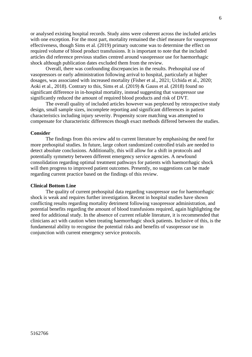or analysed existing hospital records. Study aims were coherent across the included articles with one exception. For the most part, mortality remained the chief measure for vasopressor effectiveness, though Sims et al. (2019) primary outcome was to determine the effect on required volume of blood product transfusions. It is important to note that the included articles did reference previous studies centred around vasopressor use for haemorrhagic shock although publication dates excluded them from the review.

Overall, there was confounding discrepancies in the results. Prehospital use of vasopressors or early administration following arrival to hospital, particularly at higher dosages, was associated with increased mortality (Fisher et al., 2021; Uchida et al., 2020; Aoki et al., 2018). Contrary to this, Sims et al. (2019) & Gauss et al. (2018) found no significant difference in in-hospital mortality, instead suggesting that vasopressor use significantly reduced the amount of required blood products and risk of DVT.

The overall quality of included articles however was perplexed by retrospective study design, small sample sizes, incomplete reporting and significant differences in patient characteristics including injury severity. Propensity score matching was attempted to compensate for characteristic differences though exact methods differed between the studies.

#### **Consider**

The findings from this review add to current literature by emphasising the need for more prehospital studies. In future, large cohort randomized controlled trials are needed to detect absolute conclusions. Additionally, this will allow for a shift in protocols and potentially symmetry between different emergency service agencies. A newfound consolidation regarding optimal treatment pathways for patients with haemorrhagic shock will then progress to improved patient outcomes. Presently, no suggestions can be made regarding current practice based on the findings of this review.

## **Clinical Bottom Line**

The quality of current prehospital data regarding vasopressor use for haemorrhagic shock is weak and requires further investigation. Recent in hospital studies have shown conflicting results regarding mortality detriment following vasopressor administration, and potential benefits regarding the amount of blood transfusions required, again highlighting the need for additional study. In the absence of current reliable literature, it is recommended that clinicians act with caution when treating haemorrhagic shock patients. Inclusive of this, is the fundamental ability to recognise the potential risks and benefits of vasopressor use in conjunction with current emergency service protocols.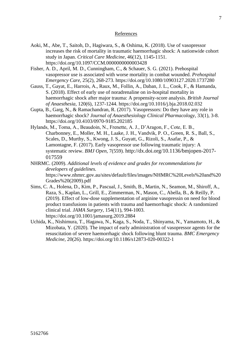# **References**

- Aoki, M., Abe, T., Saitoh, D., Hagiwara, S., & Oshima, K. (2018). Use of vasopressor increases the risk of mortality in traumatic haemorrhagic shock: A nationwide cohort study in Japan. *Critical Care Medicine,* 46(12), 1145-1151. https://doi.org[/10.1097/CCM.0000000000003428](https://doi.org/10.1097/ccm.0000000000003428)
- Fisher, A. D., April, M. D., Cunningham, C., & Schauer, S. G. (2021). Prehospital vasopressor use is associated with worse mortality in combat wounded. *Prehospital Emergency Care,* 25(2), 268-273.<https://doi.org/10.1080/10903127.2020.1737280>
- Gauss, T., Gayat, E., Harrois, A., Raux, M., Follin, A., Daban, J. L., Cook, F., & Hamanda, S. (2018). Effect of early use of noradrenaline on in-hospital mortality in haemorrhagic shock after major trauma: A propensity-score analysis. *British Journal of Anaesthesia,* 120(6), 1237-1244.<https://doi.org/10.1016/j.bja.2018.02.032>
- Gupta, B., Garg, N., & Ramachandran, R. (2017). Vasopressors: Do they have any role in haemorrhagic shock? *Journal of Anaesthesiology Clinical Pharmacology,* 33(1), 3-8. <https://doi.org/10.4103/0970-9185.202185>
- Hylands, M., Toma, A., Beaudoin, N., Frenette, A. J., D'Aragon, F., Cote, E. B., Charbonney, E., Moller, M. H., Laake, J. H., Vandvik, P. O., Green, R. S., Ball, S., Scales, D., Murthy, S., Kwong, J. S., Guyatt, G., Rizoli, S., Asafar, P., & Lamontagne, F. (2017). Early vasopressor use following traumatic injury: A systematic review. *BMJ Open,* 7(559). [http://dx.doi.org/10.1136/bmjopen-2017-](http://dx.doi.org/10.1136/bmjopen-2017-017559) [017559](http://dx.doi.org/10.1136/bmjopen-2017-017559)
- NHRMC. (2009). *Additional levels of evidence and grades for recommendations for developers of guidelines.*  [https://www.nhmrc.gov.au/sites/default/files/images/NHMRC%20Levels%20and%20](https://www.nhmrc.gov.au/sites/default/files/images/NHMRC%20Levels%20and%20Grades%20(2009).pdf) [Grades%20\(2009\).pdf](https://www.nhmrc.gov.au/sites/default/files/images/NHMRC%20Levels%20and%20Grades%20(2009).pdf)
- Sims, C. A., Holena, D., Kim, P., Pascual, J., Smith, B., Martin, N., Seamon, M., Shiroff, A., Raza, S., Kaplan, L., Grill, E., Zimmerman, N., Mason, C., Abella, B., & Reilly, P. (2019). Effect of low-dose supplementation of arginine vasopressin on need for blood product transfusions in patients with trauma and haemorrhagic shock: A randomized clinical trial. *JAMA Surgery,* 154(11), 994-1003. <https://doi.org/10.1001/jamasurg.2019.2884>
- Uchida, K., Nishimura, T., Hagawa, N., Kaga, S., Noda, T., Shinyama, N., Yamamoto, H., & Mizobata, Y. (2020). The impact of early administration of vasopressor agents for the resuscitation of severe haemorrhagic shock following blunt trauma. *BMC Emergency Medicine,* 20(26).<https://doi.org/10.1186/s12873-020-00322-1>